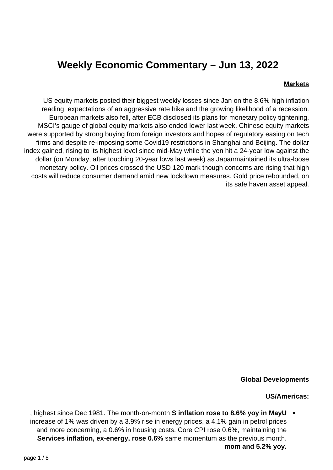# **Weekly Economic Commentary - Jun 13, 2022**

#### **Markets**

US equity markets posted their biggest weekly losses since Jan on the 8.6% high inflation reading, expectations of an aggressive rate hike and the growing likelihood of a recession. European markets also fell, after ECB disclosed its plans for monetary policy tightening. MSCI's gauge of global equity markets also ended lower last week. Chinese equity markets were supported by strong buying from foreign investors and hopes of regulatory easing on tech firms and despite re-imposing some Covid 19 restrictions in Shanghai and Beijing. The dollar index gained, rising to its highest level since mid-May while the yen hit a 24-year low against the dollar (on Monday, after touching 20-year lows last week) as Japanmaintained its ultra-loose monetary policy. Oil prices crossed the USD 120 mark though concerns are rising that high costs will reduce consumer demand amid new lockdown measures. Gold price rebounded, on its safe haven asset appeal.



#### **Global Developments**

#### **US/Americas:**

, highest since Dec 1981. The month-on-month **S inflation rose to 8.6% yoy in MayU** increase of 1% was driven by a 3.9% rise in energy prices, a 4.1% gain in petrol prices and more concerning, a 0.6% in housing costs. Core CPI rose 0.6%, maintaining the **Services inflation, ex-energy, rose 0.6% same momentum as the previous month.** mom and 5.2% yoy.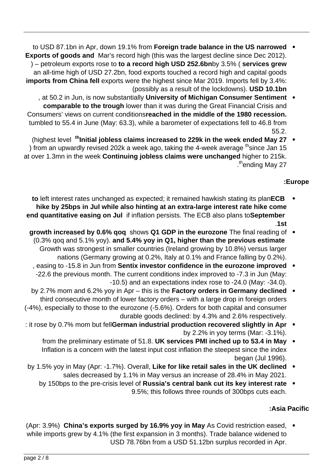- to USD 87.1bn in Apr, down 19.1% from Foreign trade balance in the US narrowed . **Exports of goods and** Mar's record high (this was the largest decline since Dec 2012). ) – petroleum exports rose to **to a record high USD 252.6 bn**by 3.5% (services grew an all-time high of USD 27.2bn, food exports touched a record high and capital goods imports from China fell exports were the highest since Mar 2019. Imports fell by 3.4%: (possibly as a result of the lockdowns). **USD 10.1bn**
- , at 50.2 in Jun, is now substantially University of Michigan Consumer Sentiment comparable to the trough lower than it was during the Great Financial Crisis and **Consumers' views on current conditionsreached in the middle of the 1980 recession.** tumbled to 55.4 in June (May: 63.3), while a barometer of expectations fell to 46.8 from 55.2.
- (highest level <sup>th</sup> Initial jobless claims increased to 229k in the week ended May 27 . ) from an upwardly revised 202k a week ago, taking the 4-week average  $th$  since Jan 15 at over 1.3mn in the week **Continuing jobless claims were unchanged** higher to 215k. .<sup>th</sup>ending May 27

# **Europe:**

- **to** left interest rates unchanged as expected; it remained hawkish stating its planECB hike by 25bps in Jul while also hinting at an extra-large interest rate hike come **end quantitative easing on Jul if inflation persists. The ECB also plans to September st**.**1**
- **growth increased by 0.6% gog shows Q1 GDP in the eurozone** The final reading of  $\bullet$ **(0.3% gog and 5.1% yoy). and 5.4% yoy in Q1, higher than the previous estimate** Growth was strongest in smaller countries (Ireland growing by 10.8%) versus larger nations (Germany growing at 0.2%, Italy at 0.1% and France falling by 0.2%).
- **easing to -15.8 in Jun from Sentix investor confidence in the eurozone improved** -22.6 the previous month. The current conditions index improved to -7.3 in Jun (May:  $-10.5$ ) and an expectations index rose to  $-24.0$  (May:  $-34.0$ ).
- **by 2.7% mom and 6.2% yoy in Apr this is the Factory orders in Germany declined** third consecutive month of lower factory orders – with a large drop in foreign orders  $(-4%)$ , especially to those to the eurozone  $(-5.6%)$ . Orders for both capital and consumer durable goods declined: by 4.3% and 2.6% respectively.
- $\therefore$  it rose by 0.7% mom but fell**German industrial production recovered slightly in Apr** by 2.2% in yoy terms (Mar:  $-3.1$ %).
	- from the preliminary estimate of 51.8. UK services PMI inched up to 53.4 in May  $\bullet$ Inflation is a concern with the latest input cost inflation the steepest since the index began (Jul  $1996$ ).
- **by 1.5% yoy in May (Apr: -1.7%). Overall, Like for like retail sales in the UK declined .** sales decreased by 1.1% in May versus an increase of 28.4% in May 2021.
	- **by 150bps to the pre-crisis level of Russia's central bank cut its key interest rate** 9.5%; this follows three rounds of 300bps cuts each.

# **Pacific Asia:**

(Apr: 3.9%) China's exports surged by 16.9% yoy in May As Covid restriction eased, . while imports grew by 4.1% (the first expansion in 3 months). Trade balance widened to USD 78.76 bn from a USD 51.12 bn surplus recorded in Apr.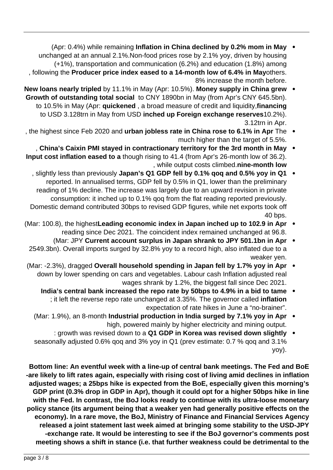- **Apr: 0.4%) while remaining Inflation in China declined by 0.2% mom in May** unchanged at an annual 2.1%. Non-food prices rose by 2.1% yoy, driven by housing  $(+1%)$ , transportation and communication  $(6.2%)$  and education  $(1.8%)$  among . following the Producer price index eased to a 14-month low of 6.4% in Mayothers. 8% increase the month before.
- **New loans nearly tripled** by 11.1% in May (Apr: 10.5%). Money supply in China grew Growth of outstanding total social to CNY 1890bn in May (from Apr's CNY 645.5bn). to 10.5% in May (Apr: quickened, a broad measure of credit and liquidity, financing to USD 3.128trn in May from USD inched up Foreign exchange reserves 10.2%). 3.12trn in Apr.
- the highest since Feb 2020 and **urban jobless rate in China rose to 6.1% in Apr** The much higher than the target of 5.5%.
- **China's Caixin PMI stayed in contractionary territory for the 3rd month in May** Input cost inflation eased to a though rising to 41.4 (from Apr's 26-month low of 36.2). , while output costs climbed.nine-month low
- 1, slightly less than previously Japan's Q1 GDP fell by 0.1% gog and 0.5% yoy in Q1 reported. In annualised terms, GDP fell by 0.5% in Q1, lower than the preliminary reading of 1% decline. The increase was largely due to an upward revision in private consumption: it inched up to 0.1% gog from the flat reading reported previously. Domestic demand contributed 30bps to revised GDP figures, while net exports took off 40 bps.
- **(Mar: 100.8), the highestLeading economic index in Japan inched up to 102.9 in Apr**  $\bullet$ reading since Dec 2021. The coincident index remained unchanged at 96.8.
- **Mar: JPY Current account surplus in Japan shrank to JPY 501.1bn in Apr** 2549.3bn). Overall imports surged by 32.8% yoy to a record high, also inflated due to a weaker ven.
- (Mar: -2.3%), dragged Overall household spending in Japan fell by 1.7% yoy in Apr down by lower spending on cars and vegetables. Labour cash Inflation adjusted real wages shrank by 1.2%, the biggest fall since Dec 2021.
	- India's central bank increased the repo rate by 50bps to 4.9% in a bid to tame ; it left the reverse repo rate unchanged at 3.35%. The governor called **inflation** expectation of rate hikes in June a "no-brainer".
	- (Mar: 1.9%), an 8-month **Industrial production in India surged by 7.1% yoy in Apr** high, powered mainly by higher electricity and mining output.
	- **slightly** down to a Q1 GDP in Korea was revised down slightly  $\bullet$ seasonally adjusted 0.6% gog and 3% yoy in Q1 (prev estimate: 0.7 % gog and 3.1% yoy).

Bottom line: An eventful week with a line-up of central bank meetings. The Fed and BoE -are likely to lift rates again, especially with rising cost of living amid declines in inflation adjusted wages; a 25bps hike is expected from the BoE, especially given this morning's **GDP** print (0.3% drop in GDP in Apr), though it could opt for a higher 50bps hike in line with the Fed. In contrast, the BoJ looks ready to continue with its ultra-loose monetary policy stance (its argument being that a weaker yen had generally positive effects on the economy). In a rare move, the BoJ, Ministry of Finance and Financial Services Agency released a joint statement last week aimed at bringing some stability to the USD-JPY -exchange rate. It would be interesting to see if the BoJ governor's comments post meeting shows a shift in stance (i.e. that further weakness could be detrimental to the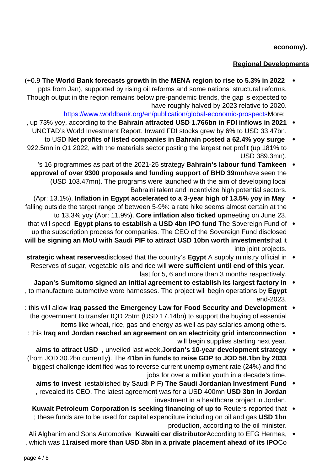#### **.(economy**

## **Regional Developments**

- **(+0.9 The World Bank forecasts growth in the MENA region to rise to 5.3% in 2022** ppts from Jan), supported by rising oil reforms and some nations' structural reforms. Though output in the region remains below pre-pandemic trends, the gap is expected to have roughly halved by 2023 relative to 2020. https://www.worldbank.org/en/publication/global-economic-[prospectsM](https://www.worldbank.org/en/publication/global-economic-prospects)ore:
- . up 73% yoy, according to the Bahrain attracted USD 1.766bn in FDI inflows in 2021  $\bullet$ UNCTAD's World Investment Report. Inward FDI stocks grew by 6% to USD 33.47bn.
- to USD Net profits of listed companies in Bahrain posted a 62.4% yoy surge 922.5mn in Q1 2022, with the materials sector posting the largest net profit (up 181% to USD 389.3mn).
- 's 16 programmes as part of the 2021-25 strategy **Bahrain's labour fund Tamkeen** approval of over 9300 proposals and funding support of BHD 39mnhave seen the (USD 103.47mn). The programs were launched with the aim of developing local Bahraini talent and incentivize high potential sectors.
- **(Apr: 13.1%), Inflation in Egypt accelerated to a 3-year high of 13.5% yoy in May** falling outside the target range of between 5-9%: a rate hike seems almost certain at the to 13.3% yoy (Apr: 11.9%). Core inflation also ticked upmeeting on June 23.
- that will speed Egypt plans to establish a USD 4bn IPO fund The Sovereign Fund of  $\bullet$ up the subscription process for companies. The CEO of the Sovereign Fund disclosed will be signing an MoU with Saudi PIF to attract USD 10bn worth investmentsthat it into joint projects.
- **strategic wheat reserves**disclosed that the country's **Egypt** A supply ministry official in  $\bullet$ **Reserves of sugar, vegetable oils and rice will were sufficient until end of this vear.** last for 5, 6 and more than 3 months respectively.
- **Japan's Sumitomo signed an initial agreement to establish its largest factory in**  $\bullet$ , to manufacture automotive wore harnesses. The project will begin operations by Egypt end-2023.
- : this will allow Iraq passed the Emergency Law for Food Security and Development . the government to transfer IQD 25trn (USD 17.14bn) to support the buying of essential items like wheat, rice, gas and energy as well as pay salaries among others.
- **interconnection grid electricity and interconnection** will begin supplies starting next year.
- **aims to attract USD**, unveiled last week, Jordan's 10-year development strategy (from JOD 30.2bn currently). The 41bn in funds to raise GDP to JOD 58.1bn by 2033 biggest challenge identified was to reverse current unemployment rate (24%) and find jobs for over a million youth in a decade's time.
	- **fund invest** (established by Saudi PIF) The Saudi Jordanian Investment Fund  $\bullet$ , revealed its CEO. The latest agreement was for a USD 400mn USD 3bn in Jordan investment in a healthcare project in Jordan.
	- Kuwait Petroleum Corporation is seeking financing of up to Reuters reported that ; these funds are to be used for capital expenditure including on oil and gas USD 1bn production, according to the oil minister.
- Ali Alghanim and Sons Automotive Kuwaiti car distributorAccording to EFG Hermes, . , which was 11 raised more than USD 3bn in a private placement ahead of its IPOCo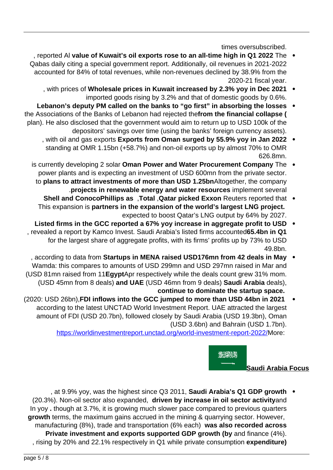times oversubscribed.

- The **2022 The of Kuwait's oil exports rose to an all-time high in Q1 2022** The Qabas daily citing a special government report. Additionally, oil revenues in 2021-2022 accounted for 84% of total revenues, while non-revenues declined by 38.9% from the  $2020-21$  fiscal year.
	- with prices of Wholesale prices in Kuwait increased by 2.3% yoy in Dec 2021 imported goods rising by 3.2% and that of domestic goods by 0.6%.
- Lebanon's deputy PM called on the banks to "go first" in absorbing the losses the Associations of the Banks of Lebanon had rejected the **from the financial collapse** ( plan). He also disclosed that the government would aim to return up to USD 100k of the depositors' savings over time (using the banks' foreign currency assets).
	- , with oil and gas exports Exports from Oman surged by 55.9% yoy in Jan 2022 standing at OMR 1.15bn (+58.7%) and non-oil exports up by almost 70% to OMR 626.8mn.
	- is currently developing 2 solar Oman Power and Water Procurement Company The power plants and is expecting an investment of USD 600mn from the private sector. to plans to attract investments of more than USD 1.25 bn Altogether, the company .projects in renewable energy and water resources implement several
		- **Shell and ConocoPhillips as . Total , Qatar picked Exxon Reuters reported that** This expansion is partners in the expansion of the world's largest LNG project. expected to boost Qatar's LNG output by 64% by 2027.
- Listed firms in the GCC reported a 67% yoy increase in aggregate profit to USD 1, revealed a report by Kamco Invest. Saudi Arabia's listed firms accounted65.4bn in Q1 for the largest share of aggregate profits, with its firms' profits up by 73% to USD 49.8bn.
- , according to data from Startups in MENA raised USD176mn from 42 deals in May  $\bullet$ Wamda: this compares to amounts of USD 299mn and USD 297mn raised in Mar and .WOM 31 mn raised from 11 **Egypt**Apr respectively while the deals count grew 31% mom. (USD 45mn from 8 deals) and UAE (USD 46mn from 9 deals) Saudi Arabia deals), continue to dominate the startup space.
- (2020: USD 26bn), FDI inflows into the GCC jumped to more than USD 44bn in 2021 according to the latest UNCTAD World Investment Report. UAE attracted the largest amount of FDI (USD 20.7bn), followed closely by Saudi Arabia (USD 19.3bn), Oman (USD 3.6bn) and Bahrain (USD 1.7bn).

https://worldinvestmentreport.unctad.org/world-investment-report-2022/More:



**Saudi Arabia Focus** 

at 9.9% yoy, was the highest since Q3 2011, **Saudi Arabia's Q1 GDP growth** . (20.3%). Non-oil sector also expanded, driven by increase in oil sector activitvand In yoy . though at 3.7%, it is growing much slower pace compared to previous quarters growth terms, the maximum gains accrued in the mining & quarrying sector. However, manufacturing (8%), trade and transportation (6% each) was also recorded across Private investment and exports supported GDP growth (by and finance (4%). , rising by 20% and 22.1% respectively in Q1 while private consumption expenditure)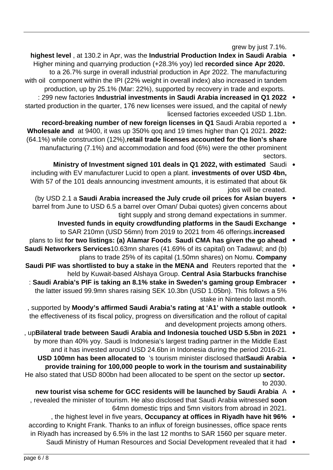grew by just 7.1%.

- **highest level**, at 130.2 in Apr, was the Industrial Production Index in Saudi Arabia **Higher mining and quarrying production (+28.3% yoy) led recorded since Apr 2020.** to a 26.7% surge in overall industrial production in Apr 2022. The manufacturing with oil component within the IPI (22% weight in overall index) also increased in tandem production, up by 25.1% (Mar: 22%), supported by recovery in trade and exports.
- <sup>299</sup> new factories Industrial investments in Saudi Arabia increased in Q1 2022 · started production in the quarter, 176 new licenses were issued, and the capital of newly licensed factories exceeded USD 1.1bn.
- **record-breaking number of new foreign licenses in Q1** Saudi Arabia reported a  $\bullet$ **2022: 2021. 2022:** 2020 **21:** 2022: **2021.** 2022: **2021.** 2022: (64.1%) while construction (12%),retail trade licenses accounted for the lion's share manufacturing (7.1%) and accommodation and food (6%) were the other prominent .sectors
	- Ministry of Investment signed 101 deals in Q1 2022, with estimated Saudi . including with EV manufacturer Lucid to open a plant. **investments of over USD 4bn**, With 57 of the 101 deals announcing investment amounts, it is estimated that about 6k jobs will be created.
	- (by USD 2.1 a Saudi Arabia increased the July crude oil prices for Asian buyers  $\bullet$ barrel from June to USD 6.5 a barrel over Oman/ Dubai guotes) given concerns about tight supply and strong demand expectations in summer.
		- **Invested funds in equity crowdfunding platforms in the Saudi Exchange**  $\bullet$ to SAR 210mn (USD 56mn) from 2019 to 2021 from 46 offerings **increased**
- **plans to list for two listings: (a) Alamar Foods Saudi CMA has given the go ahead Saudi Networkers Services** 10.63mn shares (41.69% of its capital) on Tadawul; and (b) plans to trade 25% of its capital (1.50mn shares) on Nomu. Company
- **Saudi PIF was shortlisted to buy a stake in the MENA and Reuters reported that the** held by Kuwait-based Alshaya Group. Central Asia Starbucks franchise
- : Saudi Arabia's PIF is taking an 8.1% stake in Sweden's gaming group Embracer  $\bullet$ the latter issued 99.9mn shares raising SEK 10.3bn (USD 1.05bn). This follows a 5% stake in Nintendo last month.
- **supported by Moody's affirmed Saudi Arabia's rating at 'A1' with a stable outlook .** the effectiveness of its fiscal policy, progress on diversification and the rollout of capital and development projects among others.
- **2021** upBilateral trade between Saudi Arabia and Indonesia touched USD 5.5bn in  $\bullet$ by more than 40% yoy. Saudi is Indonesia's largest trading partner in the Middle East and it has invested around USD 24.6 bn in Indonesia during the period 2016-21.
- **Arabia is allocated to**  $i$ 's tourism minister disclosed that **Saudi** Arabia provide training for 100,000 people to work in the tourism and sustainability He also stated that USD 800bn had been allocated to be spent on the sector up sector. to 2030.
	- new tourist visa scheme for GCC residents will be launched by Saudi Arabia A , revealed the minister of tourism. He also disclosed that Saudi Arabia witnessed soon 64mn domestic trips and 5mn visitors from abroad in 2021.
- , the highest level in five years, Occupancy at offices in Riyadh have hit 96% according to Knight Frank. Thanks to an influx of foreign businesses, office space rents in Riyadh has increased by 6.5% in the last 12 months to SAR 1560 per square meter.
	- Saudi Ministry of Human Resources and Social Development revealed that it had •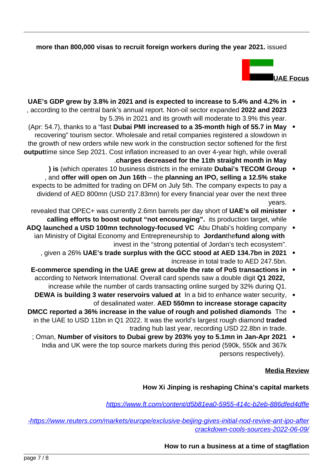#### more than 800,000 visas to recruit foreign workers during the year 2021. issued



- **in 4.2% in 3.8% in 2021 and is expected to increase to 5.4% and 4.2% in**  $\cdot$ , according to the central bank's annual report. Non-oil sector expanded 2022 and 2023 by 5.3% in 2021 and its growth will moderate to 3.9% this year.
- (Apr: 54.7), thanks to a "fast Dubai PMI increased to a 35-month high of 55.7 in May recovering" tourism sector. Wholesale and retail companies registered a slowdown in the growth of new orders while new work in the construction sector softened for the first outputtime since Sep 2021. Cost inflation increased to an over 4-year high, while overall **Charges decreased for the 11th straight month in May** 
	- **) is** (which operates 10 business districts in the emirate **Dubai's TECOM Group** , and offer will open on Jun 16th – the planning an IPO, selling a 12.5% stake expects to be admitted for trading on DFM on July 5th. The company expects to pay a dividend of AED 800mn (USD 217.83mn) for every financial year over the next three .years
	- revealed that OPEC+ was currently 2.6mn barrels per day short of UAE's oil minister  $\bullet$ calling efforts to boost output "not encouraging". its production target, while
- ADQ launched a USD 100mn technology-focused VC Abu Dhabi's holding company . ian Ministry of Digital Economy and Entrepreneurship to Jordanthefund along with invest in the "strong potential of Jordan's tech ecosystem".
	- , given a 26% UAE's trade surplus with the GCC stood at AED 134.7bn in 2021 increase in total trade to AED 247.5 bn.
	- **E-commerce spending in the UAE grew at double the rate of PoS transactions in** according to Network International. Overall card spends saw a double digit Q1 2022, increase while the number of cards transacting online surged by 32% during Q1.
	- **DEWA** is building 3 water reservoirs valued at In a bid to enhance water security, of desalinated water. AED 550mn to increase storage capacity
- **DMCC** reported a 36% increase in the value of rough and polished diamonds The in the UAE to USD 11bn in Q1 2022. It was the world's largest rough diamond traded trading hub last year, recording USD 22.8 bn in trade.
- ; Oman, Number of visitors to Dubai grew by 203% yoy to 5.1mn in Jan-Apr 2021 India and UK were the top source markets during this period (590k, 550k and 367k persons respectively).

#### **Media Review**

#### **How Xi Jinping is reshaping China's capital markets**

https://www.ft.com/content/d5b81ea0-5955-414c-b2eb-886dfed4dffe

-https://www.reuters.com/markets/europe/exclusive-beijing-gives-initial-nod-revive-ant-ipo-after crackdown-cools-sources-2022-06-09/

**How to run a business at a time of stagflation**